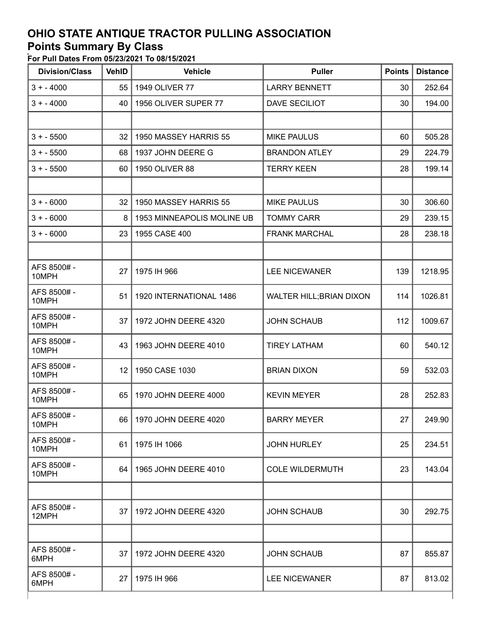## **OHIO STATE ANTIQUE TRACTOR PULLING ASSOCIATION**

## **Points Summary By Class**

**For Pull Dates From 05/23/2021 To 08/15/2021**

| <b>Division/Class</b> | <b>VehID</b> | <b>Vehicle</b>             | <b>Puller</b>            | <b>Points</b> | <b>Distance</b> |
|-----------------------|--------------|----------------------------|--------------------------|---------------|-----------------|
| $3 + -4000$           | 55           | 1949 OLIVER 77             | <b>LARRY BENNETT</b>     | 30            | 252.64          |
| $3 + -4000$           | 40           | 1956 OLIVER SUPER 77       | DAVE SECILIOT            | 30            | 194.00          |
|                       |              |                            |                          |               |                 |
| $3 + -5500$           | 32           | 1950 MASSEY HARRIS 55      | <b>MIKE PAULUS</b>       | 60            | 505.28          |
| $3 + -5500$           | 68           | 1937 JOHN DEERE G          | <b>BRANDON ATLEY</b>     | 29            | 224.79          |
| $3 + -5500$           | 60           | 1950 OLIVER 88             | <b>TERRY KEEN</b>        | 28            | 199.14          |
|                       |              |                            |                          |               |                 |
| $3 + -6000$           | 32           | 1950 MASSEY HARRIS 55      | <b>MIKE PAULUS</b>       | 30            | 306.60          |
| $3 + -6000$           | 8            | 1953 MINNEAPOLIS MOLINE UB | <b>TOMMY CARR</b>        | 29            | 239.15          |
| $3 + -6000$           | 23           | 1955 CASE 400              | <b>FRANK MARCHAL</b>     | 28            | 238.18          |
|                       |              |                            |                          |               |                 |
| AFS 8500#-<br>10MPH   | 27           | 1975 IH 966                | <b>LEE NICEWANER</b>     | 139           | 1218.95         |
| AFS 8500#-<br>10MPH   | 51           | 1920 INTERNATIONAL 1486    | WALTER HILL; BRIAN DIXON | 114           | 1026.81         |
| AFS 8500#-<br>10MPH   | 37           | 1972 JOHN DEERE 4320       | <b>JOHN SCHAUB</b>       | 112           | 1009.67         |
| AFS 8500#-<br>10MPH   | 43           | 1963 JOHN DEERE 4010       | <b>TIREY LATHAM</b>      | 60            | 540.12          |
| AFS 8500#-<br>10MPH   | 12           | 1950 CASE 1030             | <b>BRIAN DIXON</b>       | 59            | 532.03          |
| AFS 8500#-<br>10MPH   | 65           | 1970 JOHN DEERE 4000       | <b>KEVIN MEYER</b>       | 28            | 252.83          |
| AFS 8500#-<br>10MPH   | 66 I         | 1970 JOHN DEERE 4020       | <b>BARRY MEYER</b>       | 27            | 249.90          |
| AFS 8500#-<br>10MPH   | 61           | 1975 IH 1066               | <b>JOHN HURLEY</b>       | 25            | 234.51          |
| AFS 8500#-<br>10MPH   | 64           | 1965 JOHN DEERE 4010       | <b>COLE WILDERMUTH</b>   | 23            | 143.04          |
|                       |              |                            |                          |               |                 |
| AFS 8500#-<br>12MPH   | 37           | 1972 JOHN DEERE 4320       | <b>JOHN SCHAUB</b>       | 30            | 292.75          |
|                       |              |                            |                          |               |                 |
| AFS 8500#-<br>6MPH    | 37           | 1972 JOHN DEERE 4320       | <b>JOHN SCHAUB</b>       | 87            | 855.87          |
| AFS 8500#-<br>6MPH    | 27           | 1975 IH 966                | <b>LEE NICEWANER</b>     | 87            | 813.02          |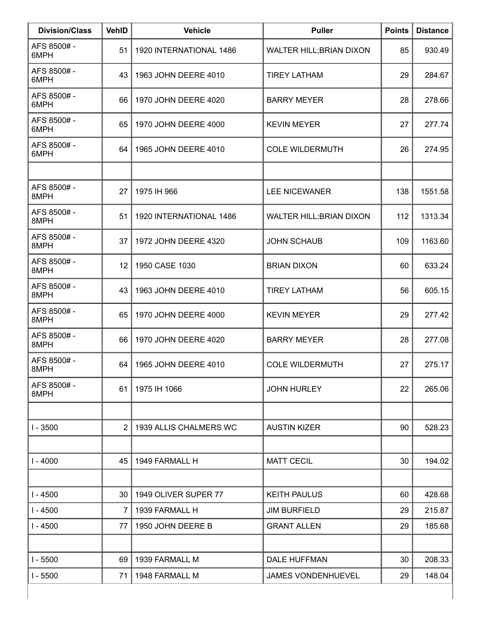| <b>Division/Class</b> | <b>VehID</b>   | <b>Vehicle</b>          | <b>Puller</b>                   | <b>Points</b> | <b>Distance</b> |
|-----------------------|----------------|-------------------------|---------------------------------|---------------|-----------------|
| AFS 8500#-<br>6MPH    | 51             | 1920 INTERNATIONAL 1486 | WALTER HILL; BRIAN DIXON        | 85            | 930.49          |
| AFS 8500#-<br>6MPH    | 43             | 1963 JOHN DEERE 4010    | <b>TIREY LATHAM</b>             | 29            | 284.67          |
| AFS 8500#-<br>6MPH    | 66             | 1970 JOHN DEERE 4020    | <b>BARRY MEYER</b>              | 28            | 278.66          |
| AFS 8500#-<br>6MPH    | 65             | 1970 JOHN DEERE 4000    | <b>KEVIN MEYER</b>              | 27            | 277.74          |
| AFS 8500#-<br>6MPH    | 64             | 1965 JOHN DEERE 4010    | <b>COLE WILDERMUTH</b>          | 26            | 274.95          |
|                       |                |                         |                                 |               |                 |
| AFS 8500#-<br>8MPH    | 27             | 1975 IH 966             | <b>LEE NICEWANER</b>            | 138           | 1551.58         |
| AFS 8500#-<br>8MPH    | 51             | 1920 INTERNATIONAL 1486 | <b>WALTER HILL; BRIAN DIXON</b> | 112           | 1313.34         |
| AFS 8500#-<br>8MPH    | 37             | 1972 JOHN DEERE 4320    | <b>JOHN SCHAUB</b>              | 109           | 1163.60         |
| AFS 8500#-<br>8MPH    | 12             | 1950 CASE 1030          | <b>BRIAN DIXON</b>              | 60            | 633.24          |
| AFS 8500#-<br>8MPH    | 43             | 1963 JOHN DEERE 4010    | <b>TIREY LATHAM</b>             | 56            | 605.15          |
| AFS 8500#-<br>8MPH    | 65             | 1970 JOHN DEERE 4000    | <b>KEVIN MEYER</b>              | 29            | 277.42          |
| AFS 8500#-<br>8MPH    | 66             | 1970 JOHN DEERE 4020    | <b>BARRY MEYER</b>              | 28            | 277.08          |
| AFS 8500#-<br>8MPH    | 64             | 1965 JOHN DEERE 4010    | <b>COLE WILDERMUTH</b>          | 27            | 275.17          |
| AFS 8500#-<br>8MPH    | 61             | 1975 IH 1066            | <b>JOHN HURLEY</b>              | 22            | 265.06          |
|                       |                |                         |                                 |               |                 |
| $1 - 3500$            | $\overline{2}$ | 1939 ALLIS CHALMERS WC  | <b>AUSTIN KIZER</b>             | 90            | 528.23          |
|                       |                |                         |                                 |               |                 |
| $1 - 4000$            | 45             | 1949 FARMALL H          | <b>MATT CECIL</b>               | 30            | 194.02          |
| $I - 4500$            | 30             | 1949 OLIVER SUPER 77    | <b>KEITH PAULUS</b>             | 60            | 428.68          |
| $I - 4500$            | 7              | 1939 FARMALL H          | <b>JIM BURFIELD</b>             | 29            | 215.87          |
| $I - 4500$            | 77             | 1950 JOHN DEERE B       | <b>GRANT ALLEN</b>              | 29            | 185.68          |
|                       |                |                         |                                 |               |                 |
| $I - 5500$            | 69             | 1939 FARMALL M          | <b>DALE HUFFMAN</b>             | 30            | 208.33          |
| $I - 5500$            | 71             | 1948 FARMALL M          | JAMES VONDENHUEVEL              | 29            | 148.04          |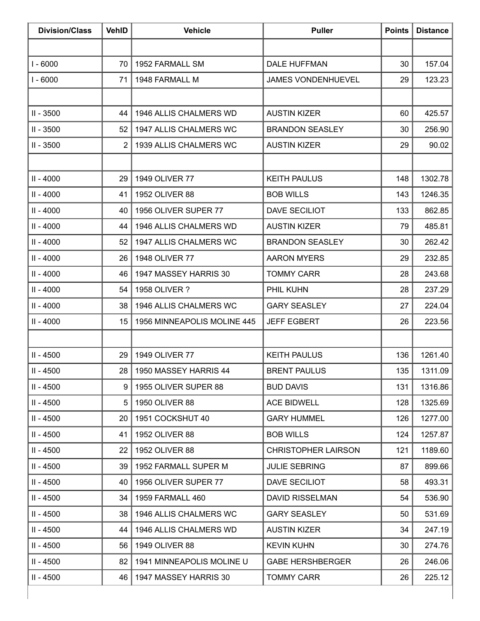| <b>Division/Class</b> | <b>VehID</b>    | <b>Vehicle</b>              | <b>Puller</b>              | <b>Points</b> | <b>Distance</b> |
|-----------------------|-----------------|-----------------------------|----------------------------|---------------|-----------------|
|                       |                 |                             |                            |               |                 |
| $I - 6000$            | 70              | 1952 FARMALL SM             | <b>DALE HUFFMAN</b>        | 30            | 157.04          |
| $I - 6000$            | 71              | 1948 FARMALL M              | <b>JAMES VONDENHUEVEL</b>  | 29            | 123.23          |
|                       |                 |                             |                            |               |                 |
| II - 3500             | 44              | 1946 ALLIS CHALMERS WD      | <b>AUSTIN KIZER</b>        | 60            | 425.57          |
| II - 3500             | 52              | 1947 ALLIS CHALMERS WC      | <b>BRANDON SEASLEY</b>     | 30            | 256.90          |
| $II - 3500$           | $\overline{2}$  | 1939 ALLIS CHALMERS WC      | <b>AUSTIN KIZER</b>        | 29            | 90.02           |
|                       |                 |                             |                            |               |                 |
| $II - 4000$           | 29              | 1949 OLIVER 77              | <b>KEITH PAULUS</b>        | 148           | 1302.78         |
| $II - 4000$           | 41              | 1952 OLIVER 88              | <b>BOB WILLS</b>           | 143           | 1246.35         |
| $II - 4000$           | 40              | 1956 OLIVER SUPER 77        | DAVE SECILIOT              | 133           | 862.85          |
| $II - 4000$           | 44              | 1946 ALLIS CHALMERS WD      | <b>AUSTIN KIZER</b>        | 79            | 485.81          |
| $II - 4000$           | 52              | 1947 ALLIS CHALMERS WC      | <b>BRANDON SEASLEY</b>     | 30            | 262.42          |
| $II - 4000$           | 26              | 1948 OLIVER 77              | <b>AARON MYERS</b>         | 29            | 232.85          |
| $II - 4000$           | 46              | 1947 MASSEY HARRIS 30       | <b>TOMMY CARR</b>          | 28            | 243.68          |
| $II - 4000$           | 54              | 1958 OLIVER ?               | PHIL KUHN                  | 28            | 237.29          |
| $II - 4000$           | 38              | 1946 ALLIS CHALMERS WC      | <b>GARY SEASLEY</b>        | 27            | 224.04          |
| $II - 4000$           | 15              | 1956 MINNEAPOLIS MOLINE 445 | <b>JEFF EGBERT</b>         | 26            | 223.56          |
|                       |                 |                             |                            |               |                 |
| II - 4500             | 29              | 1949 OLIVER 77              | <b>KEITH PAULUS</b>        | 136           | 1261.40         |
| $II - 4500$           |                 | 28   1950 MASSEY HARRIS 44  | <b>BRENT PAULUS</b>        | 135           | 1311.09         |
| $II - 4500$           | 9               | 1955 OLIVER SUPER 88        | <b>BUD DAVIS</b>           | 131           | 1316.86         |
| $II - 4500$           | 5               | 1950 OLIVER 88              | <b>ACE BIDWELL</b>         | 128           | 1325.69         |
| $II - 4500$           | 20              | 1951 COCKSHUT 40            | <b>GARY HUMMEL</b>         | 126           | 1277.00         |
| II - 4500             | 41              | 1952 OLIVER 88              | <b>BOB WILLS</b>           | 124           | 1257.87         |
| $II - 4500$           | 22              | 1952 OLIVER 88              | <b>CHRISTOPHER LAIRSON</b> | 121           | 1189.60         |
| $II - 4500$           | 39              | 1952 FARMALL SUPER M        | <b>JULIE SEBRING</b>       | 87            | 899.66          |
| II - 4500             | 40              | 1956 OLIVER SUPER 77        | DAVE SECILIOT              | 58            | 493.31          |
| $II - 4500$           | 34              | 1959 FARMALL 460            | <b>DAVID RISSELMAN</b>     | 54            | 536.90          |
| $II - 4500$           | 38              | 1946 ALLIS CHALMERS WC      | <b>GARY SEASLEY</b>        | 50            | 531.69          |
| $II - 4500$           | 44              | 1946 ALLIS CHALMERS WD      | <b>AUSTIN KIZER</b>        | 34            | 247.19          |
| II - 4500             | 56 <sup>1</sup> | 1949 OLIVER 88              | <b>KEVIN KUHN</b>          | 30            | 274.76          |
| II - 4500             | 82              | 1941 MINNEAPOLIS MOLINE U   | <b>GABE HERSHBERGER</b>    | 26            | 246.06          |
| $II - 4500$           |                 | 46   1947 MASSEY HARRIS 30  | <b>TOMMY CARR</b>          | 26            | 225.12          |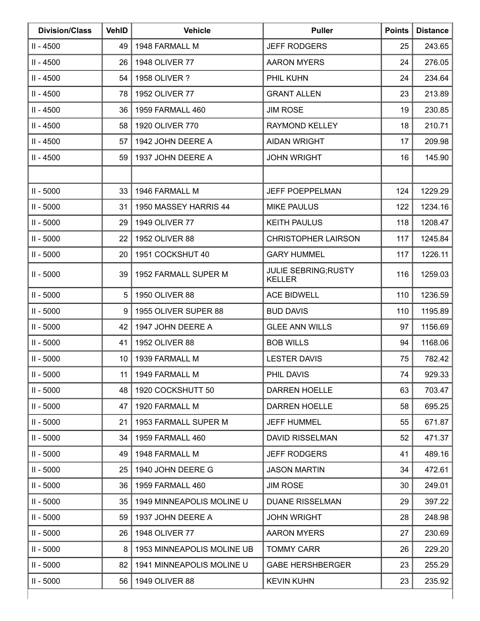| <b>Division/Class</b> | <b>VehID</b> | <b>Vehicle</b>             | <b>Puller</b>                                | <b>Points</b> | <b>Distance</b> |
|-----------------------|--------------|----------------------------|----------------------------------------------|---------------|-----------------|
| $II - 4500$           | 49           | 1948 FARMALL M             | <b>JEFF RODGERS</b>                          | 25            | 243.65          |
| II - 4500             | 26           | 1948 OLIVER 77             | <b>AARON MYERS</b>                           | 24            | 276.05          |
| II - 4500             | 54           | 1958 OLIVER ?              | PHIL KUHN                                    | 24            | 234.64          |
| II - 4500             | 78           | 1952 OLIVER 77             | <b>GRANT ALLEN</b>                           | 23            | 213.89          |
| $II - 4500$           | 36           | 1959 FARMALL 460           | <b>JIM ROSE</b>                              | 19            | 230.85          |
| $II - 4500$           | 58           | 1920 OLIVER 770            | RAYMOND KELLEY                               | 18            | 210.71          |
| II - 4500             | 57           | 1942 JOHN DEERE A          | <b>AIDAN WRIGHT</b>                          | 17            | 209.98          |
| II - 4500             | 59           | 1937 JOHN DEERE A          | <b>JOHN WRIGHT</b>                           | 16            | 145.90          |
|                       |              |                            |                                              |               |                 |
| $II - 5000$           | 33           | 1946 FARMALL M             | <b>JEFF POEPPELMAN</b>                       | 124           | 1229.29         |
| $II - 5000$           | 31           | 1950 MASSEY HARRIS 44      | <b>MIKE PAULUS</b>                           | 122           | 1234.16         |
| $II - 5000$           | 29           | 1949 OLIVER 77             | <b>KEITH PAULUS</b>                          | 118           | 1208.47         |
| $II - 5000$           | 22           | 1952 OLIVER 88             | <b>CHRISTOPHER LAIRSON</b>                   | 117           | 1245.84         |
| $II - 5000$           | 20           | 1951 COCKSHUT 40           | <b>GARY HUMMEL</b>                           | 117           | 1226.11         |
| $II - 5000$           | 39           | 1952 FARMALL SUPER M       | <b>JULIE SEBRING; RUSTY</b><br><b>KELLER</b> | 116           | 1259.03         |
| $II - 5000$           | 5            | 1950 OLIVER 88             | <b>ACE BIDWELL</b>                           | 110           | 1236.59         |
| $II - 5000$           | 9            | 1955 OLIVER SUPER 88       | <b>BUD DAVIS</b>                             | 110           | 1195.89         |
| $II - 5000$           | 42           | 1947 JOHN DEERE A          | <b>GLEE ANN WILLS</b>                        | 97            | 1156.69         |
| $II - 5000$           | 41           | 1952 OLIVER 88             | <b>BOB WILLS</b>                             | 94            | 1168.06         |
| $II - 5000$           | 10           | 1939 FARMALL M             | <b>LESTER DAVIS</b>                          | 75            | 782.42          |
| $II - 5000$           | 11           | 1949 FARMALL M             | PHIL DAVIS                                   | 74            | 929.33          |
| $II - 5000$           | 48           | 1920 COCKSHUTT 50          | <b>DARREN HOELLE</b>                         | 63            | 703.47          |
| $II - 5000$           | 47           | 1920 FARMALL M             | DARREN HOELLE                                | 58            | 695.25          |
| $II - 5000$           | 21           | 1953 FARMALL SUPER M       | <b>JEFF HUMMEL</b>                           | 55            | 671.87          |
| $II - 5000$           | 34           | 1959 FARMALL 460           | <b>DAVID RISSELMAN</b>                       | 52            | 471.37          |
| $II - 5000$           | 49           | 1948 FARMALL M             | <b>JEFF RODGERS</b>                          | 41            | 489.16          |
| $II - 5000$           | 25           | 1940 JOHN DEERE G          | <b>JASON MARTIN</b>                          | 34            | 472.61          |
| $II - 5000$           | 36           | 1959 FARMALL 460           | <b>JIM ROSE</b>                              | 30            | 249.01          |
| $II - 5000$           | 35           | 1949 MINNEAPOLIS MOLINE U  | <b>DUANE RISSELMAN</b>                       | 29            | 397.22          |
| $II - 5000$           | 59           | 1937 JOHN DEERE A          | JOHN WRIGHT                                  | 28            | 248.98          |
| $II - 5000$           | 26           | 1948 OLIVER 77             | <b>AARON MYERS</b>                           | 27            | 230.69          |
| $II - 5000$           | 8            | 1953 MINNEAPOLIS MOLINE UB | <b>TOMMY CARR</b>                            | 26            | 229.20          |
| $II - 5000$           | 82           | 1941 MINNEAPOLIS MOLINE U  | <b>GABE HERSHBERGER</b>                      | 23            | 255.29          |
| $II - 5000$           | 56           | 1949 OLIVER 88             | <b>KEVIN KUHN</b>                            | 23            | 235.92          |
|                       |              |                            |                                              |               |                 |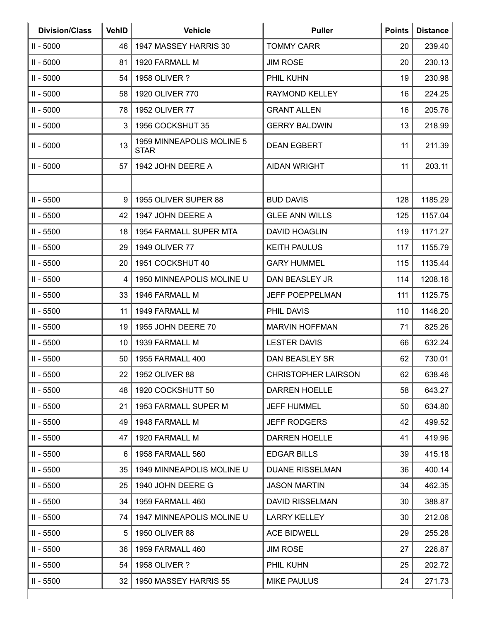| <b>Division/Class</b> | <b>VehID</b> | <b>Vehicle</b>                           | <b>Puller</b>              | <b>Points</b> | <b>Distance</b> |
|-----------------------|--------------|------------------------------------------|----------------------------|---------------|-----------------|
| $II - 5000$           | 46           | 1947 MASSEY HARRIS 30                    | <b>TOMMY CARR</b>          | 20            | 239.40          |
| $II - 5000$           | 81           | 1920 FARMALL M                           | <b>JIM ROSE</b>            | 20            | 230.13          |
| $II - 5000$           | 54           | 1958 OLIVER ?                            | PHIL KUHN                  | 19            | 230.98          |
| $II - 5000$           | 58           | 1920 OLIVER 770                          | <b>RAYMOND KELLEY</b>      | 16            | 224.25          |
| $II - 5000$           | 78           | 1952 OLIVER 77                           | <b>GRANT ALLEN</b>         | 16            | 205.76          |
| $II - 5000$           | 3            | 1956 COCKSHUT 35                         | <b>GERRY BALDWIN</b>       | 13            | 218.99          |
| $II - 5000$           | 13           | 1959 MINNEAPOLIS MOLINE 5<br><b>STAR</b> | <b>DEAN EGBERT</b>         | 11            | 211.39          |
| $II - 5000$           | 57           | 1942 JOHN DEERE A                        | <b>AIDAN WRIGHT</b>        | 11            | 203.11          |
|                       |              |                                          |                            |               |                 |
| $II - 5500$           | 9            | 1955 OLIVER SUPER 88                     | <b>BUD DAVIS</b>           | 128           | 1185.29         |
| $II - 5500$           | 42           | 1947 JOHN DEERE A                        | <b>GLEE ANN WILLS</b>      | 125           | 1157.04         |
| $II - 5500$           | 18           | 1954 FARMALL SUPER MTA                   | <b>DAVID HOAGLIN</b>       | 119           | 1171.27         |
| $II - 5500$           | 29           | 1949 OLIVER 77                           | <b>KEITH PAULUS</b>        | 117           | 1155.79         |
| $II - 5500$           | 20           | 1951 COCKSHUT 40                         | <b>GARY HUMMEL</b>         | 115           | 1135.44         |
| $II - 5500$           | 4            | 1950 MINNEAPOLIS MOLINE U                | DAN BEASLEY JR             | 114           | 1208.16         |
| $II - 5500$           | 33           | 1946 FARMALL M                           | JEFF POEPPELMAN            | 111           | 1125.75         |
| $II - 5500$           | 11           | 1949 FARMALL M                           | PHIL DAVIS                 | 110           | 1146.20         |
| $II - 5500$           | 19           | 1955 JOHN DEERE 70                       | <b>MARVIN HOFFMAN</b>      | 71            | 825.26          |
| $II - 5500$           | 10           | 1939 FARMALL M                           | <b>LESTER DAVIS</b>        | 66            | 632.24          |
| $II - 5500$           | 50           | 1955 FARMALL 400                         | <b>DAN BEASLEY SR</b>      | 62            | 730.01          |
| $II - 5500$           | 22           | 1952 OLIVER 88                           | <b>CHRISTOPHER LAIRSON</b> | 62            | 638.46          |
| $II - 5500$           | 48           | 1920 COCKSHUTT 50                        | <b>DARREN HOELLE</b>       | 58            | 643.27          |
| $II - 5500$           | 21           | 1953 FARMALL SUPER M                     | <b>JEFF HUMMEL</b>         | 50            | 634.80          |
| $II - 5500$           | 49           | 1948 FARMALL M                           | <b>JEFF RODGERS</b>        | 42            | 499.52          |
| $II - 5500$           | 47           | 1920 FARMALL M                           | <b>DARREN HOELLE</b>       | 41            | 419.96          |
| $II - 5500$           | 6            | 1958 FARMALL 560                         | <b>EDGAR BILLS</b>         | 39            | 415.18          |
| $II - 5500$           | 35           | 1949 MINNEAPOLIS MOLINE U                | <b>DUANE RISSELMAN</b>     | 36            | 400.14          |
| $II - 5500$           | 25           | 1940 JOHN DEERE G                        | <b>JASON MARTIN</b>        | 34            | 462.35          |
| $II - 5500$           | 34           | 1959 FARMALL 460                         | <b>DAVID RISSELMAN</b>     | 30            | 388.87          |
| $II - 5500$           | 74           | 1947 MINNEAPOLIS MOLINE U                | <b>LARRY KELLEY</b>        | 30            | 212.06          |
| $II - 5500$           | 5            | 1950 OLIVER 88                           | <b>ACE BIDWELL</b>         | 29            | 255.28          |
| $II - 5500$           | 36           | 1959 FARMALL 460                         | <b>JIM ROSE</b>            | 27            | 226.87          |
| $II - 5500$           | 54           | 1958 OLIVER ?                            | PHIL KUHN                  | 25            | 202.72          |
| $II - 5500$           | 32           | 1950 MASSEY HARRIS 55                    | <b>MIKE PAULUS</b>         | 24            | 271.73          |
|                       |              |                                          |                            |               |                 |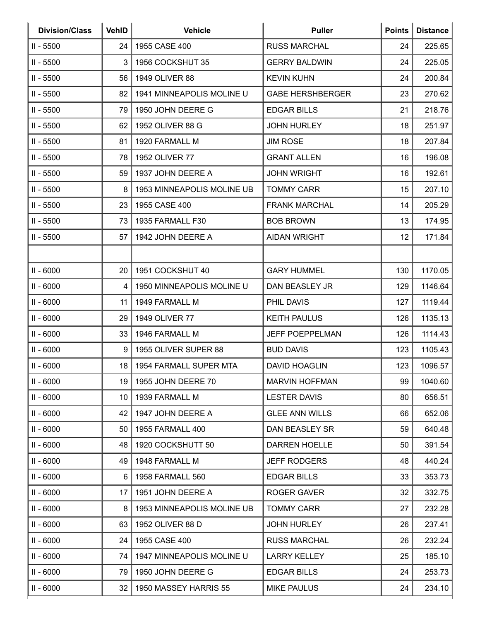| <b>Division/Class</b> | <b>VehID</b>    | <b>Vehicle</b>             | <b>Puller</b>           | <b>Points</b> | <b>Distance</b> |
|-----------------------|-----------------|----------------------------|-------------------------|---------------|-----------------|
| II - 5500             | 24              | 1955 CASE 400              | <b>RUSS MARCHAL</b>     | 24            | 225.65          |
| $II - 5500$           | 3               | 1956 COCKSHUT 35           | <b>GERRY BALDWIN</b>    | 24            | 225.05          |
| $II - 5500$           | 56              | 1949 OLIVER 88             | <b>KEVIN KUHN</b>       | 24            | 200.84          |
| $II - 5500$           | 82              | 1941 MINNEAPOLIS MOLINE U  | <b>GABE HERSHBERGER</b> | 23            | 270.62          |
| $II - 5500$           | 79              | 1950 JOHN DEERE G          | <b>EDGAR BILLS</b>      | 21            | 218.76          |
| $II - 5500$           | 62              | 1952 OLIVER 88 G           | <b>JOHN HURLEY</b>      | 18            | 251.97          |
| $II - 5500$           | 81              | 1920 FARMALL M             | <b>JIM ROSE</b>         | 18            | 207.84          |
| $II - 5500$           | 78              | 1952 OLIVER 77             | <b>GRANT ALLEN</b>      | 16            | 196.08          |
| $II - 5500$           | 59              | 1937 JOHN DEERE A          | <b>JOHN WRIGHT</b>      | 16            | 192.61          |
| $II - 5500$           | 8               | 1953 MINNEAPOLIS MOLINE UB | <b>TOMMY CARR</b>       | 15            | 207.10          |
| $II - 5500$           | 23              | 1955 CASE 400              | <b>FRANK MARCHAL</b>    | 14            | 205.29          |
| $II - 5500$           | 73              | 1935 FARMALL F30           | <b>BOB BROWN</b>        | 13            | 174.95          |
| $II - 5500$           | 57              | 1942 JOHN DEERE A          | <b>AIDAN WRIGHT</b>     | 12            | 171.84          |
|                       |                 |                            |                         |               |                 |
| $II - 6000$           | 20              | 1951 COCKSHUT 40           | <b>GARY HUMMEL</b>      | 130           | 1170.05         |
| $II - 6000$           | 4               | 1950 MINNEAPOLIS MOLINE U  | DAN BEASLEY JR          | 129           | 1146.64         |
| $II - 6000$           | 11              | 1949 FARMALL M             | PHIL DAVIS              | 127           | 1119.44         |
| $II - 6000$           | 29              | 1949 OLIVER 77             | <b>KEITH PAULUS</b>     | 126           | 1135.13         |
| $II - 6000$           | 33              | 1946 FARMALL M             | <b>JEFF POEPPELMAN</b>  | 126           | 1114.43         |
| $II - 6000$           | 9               | 1955 OLIVER SUPER 88       | <b>BUD DAVIS</b>        | 123           | 1105.43         |
| $II - 6000$           | 18              | 1954 FARMALL SUPER MTA     | <b>DAVID HOAGLIN</b>    | 123           | 1096.57         |
| $II - 6000$           | 19              | 1955 JOHN DEERE 70         | <b>MARVIN HOFFMAN</b>   | 99            | 1040.60         |
| $II - 6000$           | 10              | 1939 FARMALL M             | <b>LESTER DAVIS</b>     | 80            | 656.51          |
| $II - 6000$           | 42              | 1947 JOHN DEERE A          | <b>GLEE ANN WILLS</b>   | 66            | 652.06          |
| $II - 6000$           | 50              | 1955 FARMALL 400           | DAN BEASLEY SR          | 59            | 640.48          |
| $II - 6000$           | 48              | 1920 COCKSHUTT 50          | <b>DARREN HOELLE</b>    | 50            | 391.54          |
| $II - 6000$           | 49              | 1948 FARMALL M             | <b>JEFF RODGERS</b>     | 48            | 440.24          |
| $II - 6000$           | 6               | 1958 FARMALL 560           | <b>EDGAR BILLS</b>      | 33            | 353.73          |
| $II - 6000$           | 17              | 1951 JOHN DEERE A          | <b>ROGER GAVER</b>      | 32            | 332.75          |
| $II - 6000$           | 8               | 1953 MINNEAPOLIS MOLINE UB | <b>TOMMY CARR</b>       | 27            | 232.28          |
| $II - 6000$           | 63              | 1952 OLIVER 88 D           | <b>JOHN HURLEY</b>      | 26            | 237.41          |
| $II - 6000$           | 24              | 1955 CASE 400              | <b>RUSS MARCHAL</b>     | 26            | 232.24          |
| $II - 6000$           | 74              | 1947 MINNEAPOLIS MOLINE U  | <b>LARRY KELLEY</b>     | 25            | 185.10          |
| $II - 6000$           | 79              | 1950 JOHN DEERE G          | <b>EDGAR BILLS</b>      | 24            | 253.73          |
| $II - 6000$           | 32 <sub>2</sub> | 1950 MASSEY HARRIS 55      | <b>MIKE PAULUS</b>      | 24            | 234.10          |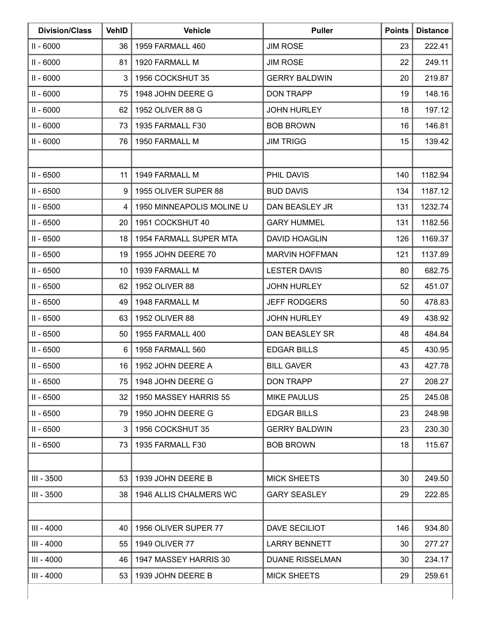| <b>Division/Class</b> | <b>VehID</b>    | <b>Vehicle</b>            | <b>Puller</b>          | <b>Points</b> | <b>Distance</b> |
|-----------------------|-----------------|---------------------------|------------------------|---------------|-----------------|
| $II - 6000$           | 36              | 1959 FARMALL 460          | <b>JIM ROSE</b>        | 23            | 222.41          |
| $II - 6000$           | 81              | 1920 FARMALL M            | <b>JIM ROSE</b>        | 22            | 249.11          |
| $II - 6000$           | 3               | 1956 COCKSHUT 35          | <b>GERRY BALDWIN</b>   | 20            | 219.87          |
| $II - 6000$           | 75              | 1948 JOHN DEERE G         | <b>DON TRAPP</b>       | 19            | 148.16          |
| $II - 6000$           | 62              | 1952 OLIVER 88 G          | <b>JOHN HURLEY</b>     | 18            | 197.12          |
| $II - 6000$           | 73              | 1935 FARMALL F30          | <b>BOB BROWN</b>       | 16            | 146.81          |
| $II - 6000$           | 76              | 1950 FARMALL M            | <b>JIM TRIGG</b>       | 15            | 139.42          |
|                       |                 |                           |                        |               |                 |
| $II - 6500$           | 11              | 1949 FARMALL M            | PHIL DAVIS             | 140           | 1182.94         |
| $II - 6500$           | 9               | 1955 OLIVER SUPER 88      | <b>BUD DAVIS</b>       | 134           | 1187.12         |
| $II - 6500$           | 4               | 1950 MINNEAPOLIS MOLINE U | DAN BEASLEY JR         | 131           | 1232.74         |
| $II - 6500$           | 20              | 1951 COCKSHUT 40          | <b>GARY HUMMEL</b>     | 131           | 1182.56         |
| $II - 6500$           | 18              | 1954 FARMALL SUPER MTA    | <b>DAVID HOAGLIN</b>   | 126           | 1169.37         |
| $II - 6500$           | 19              | 1955 JOHN DEERE 70        | <b>MARVIN HOFFMAN</b>  | 121           | 1137.89         |
| II - 6500             | 10              | 1939 FARMALL M            | <b>LESTER DAVIS</b>    | 80            | 682.75          |
| $II - 6500$           | 62              | 1952 OLIVER 88            | <b>JOHN HURLEY</b>     | 52            | 451.07          |
| $II - 6500$           | 49              | 1948 FARMALL M            | <b>JEFF RODGERS</b>    | 50            | 478.83          |
| $II - 6500$           | 63              | 1952 OLIVER 88            | <b>JOHN HURLEY</b>     | 49            | 438.92          |
| $II - 6500$           | 50              | 1955 FARMALL 400          | <b>DAN BEASLEY SR</b>  | 48            | 484.84          |
| $II - 6500$           | 6               | 1958 FARMALL 560          | <b>EDGAR BILLS</b>     | 45            | 430.95          |
| $II - 6500$           | 16              | 1952 JOHN DEERE A         | <b>BILL GAVER</b>      | 43            | 427.78          |
| $II - 6500$           | 75              | 1948 JOHN DEERE G         | <b>DON TRAPP</b>       | 27            | 208.27          |
| $II - 6500$           | 32 <sub>2</sub> | 1950 MASSEY HARRIS 55     | <b>MIKE PAULUS</b>     | 25            | 245.08          |
| $II - 6500$           | 79              | 1950 JOHN DEERE G         | <b>EDGAR BILLS</b>     | 23            | 248.98          |
| $II - 6500$           | 3               | 1956 COCKSHUT 35          | <b>GERRY BALDWIN</b>   | 23            | 230.30          |
| $II - 6500$           | 73              | 1935 FARMALL F30          | <b>BOB BROWN</b>       | 18            | 115.67          |
|                       |                 |                           |                        |               |                 |
| III - 3500            | 53              | 1939 JOHN DEERE B         | <b>MICK SHEETS</b>     | 30            | 249.50          |
| III - 3500            | 38              | 1946 ALLIS CHALMERS WC    | <b>GARY SEASLEY</b>    | 29            | 222.85          |
|                       |                 |                           |                        |               |                 |
| III - 4000            | 40              | 1956 OLIVER SUPER 77      | DAVE SECILIOT          | 146           | 934.80          |
| III - 4000            | 55              | 1949 OLIVER 77            | <b>LARRY BENNETT</b>   | 30            | 277.27          |
| III - 4000            | 46              | 1947 MASSEY HARRIS 30     | <b>DUANE RISSELMAN</b> | 30            | 234.17          |
| III - 4000            | 53              | 1939 JOHN DEERE B         | <b>MICK SHEETS</b>     | 29            | 259.61          |